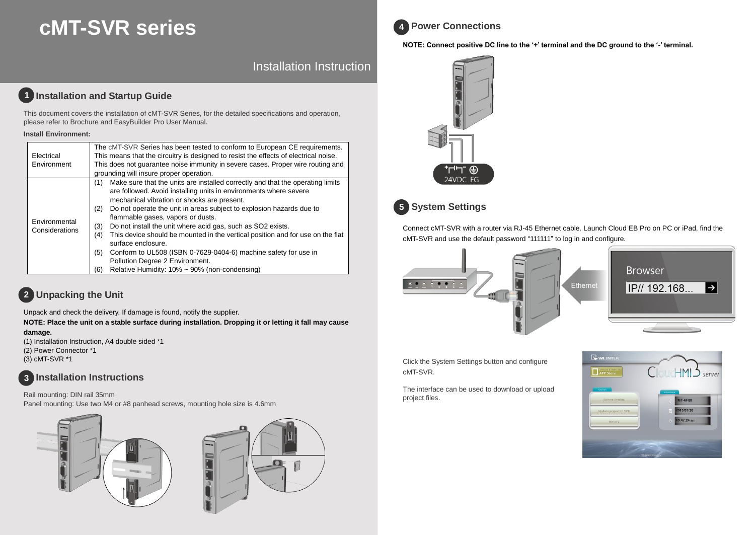# **cMT-SVR series**

Installation Instruction

### **1** Installation and Startup Guide

This document covers the installation of cMT-SVR Series, for the detailed specifications and operation, please refer to Brochure and EasyBuilder Pro User Manual.

#### **Install Environment:**

| Electrical<br>Environment       | The cMT-SVR Series has been tested to conform to European CE requirements.<br>This means that the circuitry is designed to resist the effects of electrical noise.<br>This does not quarantee noise immunity in severe cases. Proper wire routing and<br>grounding will insure proper operation.                                                                                                                                                                                                                                                                                                                                                                                        |  |  |
|---------------------------------|-----------------------------------------------------------------------------------------------------------------------------------------------------------------------------------------------------------------------------------------------------------------------------------------------------------------------------------------------------------------------------------------------------------------------------------------------------------------------------------------------------------------------------------------------------------------------------------------------------------------------------------------------------------------------------------------|--|--|
| Environmental<br>Considerations | Make sure that the units are installed correctly and that the operating limits<br>(1)<br>are followed. Avoid installing units in environments where severe<br>mechanical vibration or shocks are present.<br>Do not operate the unit in areas subject to explosion hazards due to<br>(2)<br>flammable gases, vapors or dusts.<br>Do not install the unit where acid gas, such as SO2 exists.<br>(3)<br>This device should be mounted in the vertical position and for use on the flat<br>(4)<br>surface enclosure.<br>Conform to UL508 (ISBN 0-7629-0404-6) machine safety for use in<br>(5)<br>Pollution Degree 2 Environment.<br>Relative Humidity: 10% ~ 90% (non-condensing)<br>(6) |  |  |

## **Unpacking the Unit 2**

Unpack and check the delivery. If damage is found, notify the supplier.

**NOTE: Place the unit on a stable surface during installation. Dropping it or letting it fall may cause damage.**

(1) Installation Instruction, A4 double sided \*1 (2) Power Connector \*1 (3) cMT-SVR \*1

### **Installation Instructions 3**

Rail mounting: DIN rail 35mm Panel mounting: Use two M4 or #8 panhead screws, mounting hole size is 4.6mm







#### **Power Connections 4**

**NOTE: Connect positive DC line to the '+' terminal and the DC ground to the '-' terminal.**





Connect cMT-SVR with a router via RJ-45 Ethernet cable. Launch Cloud EB Pro on PC or iPad, find the cMT-SVR and use the default password "111111" to log in and configure.



Click the System Settings button and configure cMT-SVR.

The interface can be used to download or upload project files.